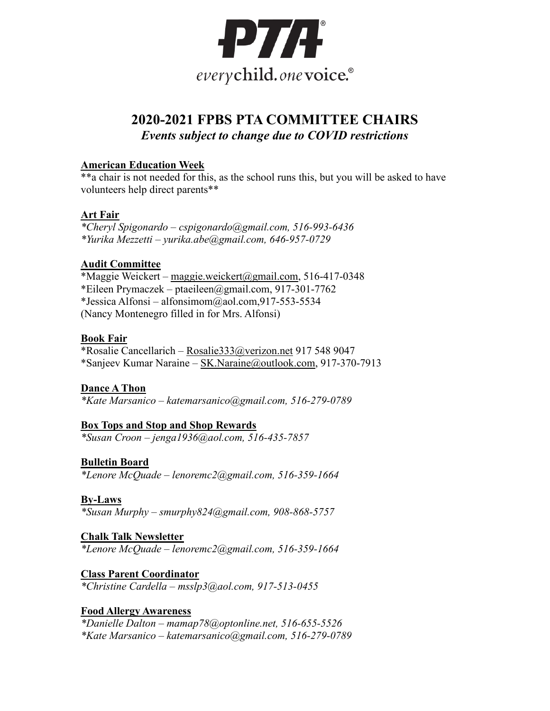

# **2020-2021 FPBS PTA COMMITTEE CHAIRS** *Events subject to change due to COVID restrictions*

## **American Education Week**

\*\*a chair is not needed for this, as the school runs this, but you will be asked to have volunteers help direct parents\*\*

## **Art Fair**

*\*Cheryl Spigonardo – [cspigonardo@gmail.com,](mailto:cspigonardo@gmail.com) 516-993-6436 \*Yurika Mezzetti – [yurika.abe@gmail.com,](mailto:yurika.abe@gmail.com) 646-957-0729*

## **Audit Committee**

\*Maggie Weickert – [maggie.weickert@gmail.com,](mailto:maggie.weickert@gmail.com) 516-417-0348 \*Eileen Prymaczek – [ptaeileen@gmail.com,](mailto:ptaeileen@gmail.com) 917-301-7762 \*Jessica Alfonsi – [alfonsimom@aol.com,](mailto:alfonsimom@aol.com)917-553-5534 (Nancy Montenegro filled in for Mrs. Alfonsi)

## **Book Fair**

\*Rosalie Cancellarich – [Rosalie333@verizon.net](mailto:Rosalie333@verizon.net) 917 548 9047 \*Sanjeev Kumar Naraine – [SK.Naraine@outlook.com,](mailto:SK.Naraine@outlook.com) 917-370-7913

## **Dance A Thon**

*\*Kate Marsanico – [katemarsanico@gmail.com,](mailto:katemarsanico@gmail.com) 516-279-0789*

## **Box Tops and Stop and Shop Rewards**

*\*Susan Croon – [jenga1936@aol.com,](mailto:jenga1936@aol.com) 516-435-7857*

## **Bulletin Board**

*\*Lenore McQuade – [lenoremc2@gmail.com,](mailto:lenoremc2@gmail.com) 516-359-1664*

## **By-Laws**

*\*Susan Murphy – [smurphy824@gmail.com,](mailto:smurphy824@gmail.com) 908-868-5757*

## **Chalk Talk Newsletter**

*\*Lenore McQuade – [lenoremc2@gmail.com,](mailto:lenoremc2@gmail.com) 516-359-1664*

## **Class Parent Coordinator**

*\*Christine Cardella – [msslp3@aol.com,](mailto:morans2717@yahoo.com) 917-513-0455*

## **Food Allergy Awareness**

*\*Danielle Dalton – [mamap78@optonline.net,](mailto:mamap78@optonline.net) 516-655-5526 \*Kate Marsanico – [katemarsanico@gmail.com,](mailto:katemarsanico@gmail.com) 516-279-0789*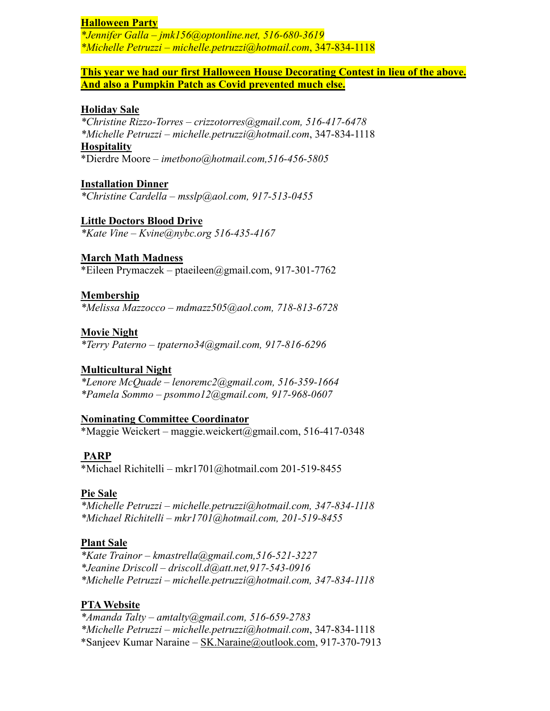### **Halloween Party**

*\*Jennifer Galla – [jmk156@optonline.net,](mailto:jmk156@optonline.net) 516-680-3619 \*Michelle Petruzzi – [michelle.petruzzi@hotmail.com](mailto:michelle.petruzzi@hotmail.com)*, 347-834-1118

### **This year we had our first Halloween House Decorating Contest in lieu of the above. And also a Pumpkin Patch as Covid prevented much else.**

#### **Holiday Sale**

*\*Christine Rizzo-Torres – [crizzotorres@gmail.com,](mailto:crizzotorres@gmail.com) 516-417-6478 \*Michelle Petruzzi – [michelle.petruzzi@hotmail.com](mailto:michelle.petruzzi@hotmail.com)*, 347-834-1118 **Hospitality**

\*Dierdre Moore *– [imetbono@hotmail.com,](mailto:imetbono@hotmail.com)516-456-5805*

**Installation Dinner** *\*Christine Cardella – [msslp@aol.com,](mailto:msslp@aol.com) 917-513-0455*

**Little Doctors Blood Drive** *\*Kate Vine – [Kvine@nybc.org](mailto:Kvine@nybc.org) 516-435-4167*

### **March Math Madness**

\*Eileen Prymaczek – [ptaeileen@gmail.com,](mailto:ptaeileen@gmail.com) 917-301-7762

### **Membership**

*\*Melissa Mazzocco – [mdmazz505@aol.com,](mailto:mdmazz505@aol.com) 718-813-6728*

### **Movie Night**

*\*Terry Paterno – [tpaterno34@gmail.com,](mailto:tpaterno34@gmail.com) 917-816-6296*

### **Multicultural Night**

*\*Lenore McQuade – [lenoremc2@gmail.com,](mailto:lenoremc2@gmail.com) 516-359-1664 \*Pamela Sommo – [psommo12@gmail.com,](mailto:psommo12@gmail.com) 917-968-0607*

#### **Nominating Committee Coordinator**

\*Maggie Weickert – [maggie.weickert@gmail.com,](mailto:maggie.weickert@gmail.com) 516-417-0348

#### **PARP**

\*Michael Richitelli – [mkr1701@hotmail.com](mailto:mkr1701@hotmail.com) 201-519-8455

#### **Pie Sale**

*\*Michelle Petruzzi – [michelle.petruzzi@hotmail.com,](mailto:michelle.petruzzi@hotmail.com) 347-834-1118 \*Michael Richitelli – [mkr1701@hotmail.com,](mailto:mkr1701@hotmail.com) 201-519-8455*

#### **Plant Sale**

*\*Kate Trainor – [kmastrella@gmail.com,](mailto:kmastrella@gmail.com)516-521-3227 \*Jeanine Driscoll – [driscoll.d@att.net,](mailto:driscoll.d@att.net)917-543-0916 \*Michelle Petruzzi – [michelle.petruzzi@hotmail.com,](mailto:michelle.petruzzi@hotmail.com) 347-834-1118*

#### **PTA Website**

*\*Amanda Talty – [amtalty@gmail.com,](mailto:amtalty@gmail.com) 516-659-2783 \*Michelle Petruzzi – [michelle.petruzzi@hotmail.com](mailto:michelle.petruzzi@hotmail.com)*, 347-834-1118 \*Sanjeev Kumar Naraine – [SK.Naraine@outlook.com,](mailto:SK.Naraine@outlook.com) 917-370-7913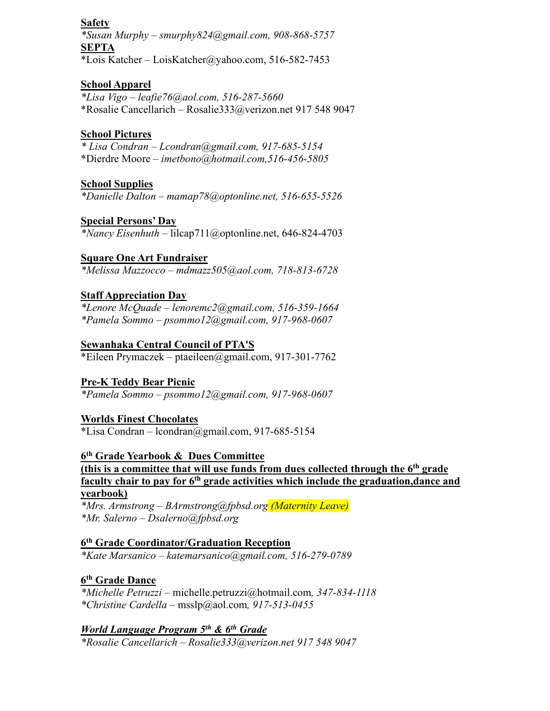## **Safety**

*\*Susan Murphy – [smurphy824@gmail.com,](mailto:smurphy824@gmail.com) 908-868-5757* **SEPTA** \*Lois Katcher – [LoisKatcher@yahoo.com,](mailto:LoisKatcher@yahoo.com) 516-582-7453

### **School Apparel**

*\*Lisa Vigo – [leafie76@aol.com,](mailto:leafie76@aol.com) 516-287-5660* \*Rosalie Cancellarich – [Rosalie333@verizon.net](mailto:Rosalie333@verizon.net) 917 548 9047

### **School Pictures**

*\* Lisa Condran – [Lcondran@gmail.com,](mailto:Lcondran@gmail.com) 917-685-5154*  \*Dierdre Moore *– [imetbono@hotmail.com,](mailto:imetbono@hotmail.com)516-456-5805*

## **School Supplies**

*\*Danielle Dalton – [mamap78@optonline.net,](mailto:mamap78@optonline.net) 516-655-5526*

### **Special Persons' Day**

*\*Nancy Eisenhuth* – [lilcap711@optonline.net,](mailto:lilcap711@optonline.net) 646-824-4703

### **Square One Art Fundraiser**

*\*Melissa Mazzocco – [mdmazz505@aol.com,](mailto:mdmazz505@aol.com) 718-813-6728*

### **Staff Appreciation Day**

*\*Lenore McQuade – [lenoremc2@gmail.com,](mailto:lenoremc2@gmail.com) 516-359-1664 \*Pamela Sommo – [psommo12@gmail.com,](mailto:psommo12@gmail.com) 917-968-0607*

### **Sewanhaka Central Council of PTA'S**

\*Eileen Prymaczek – [ptaeileen@gmail.com,](mailto:ptaeileen@gmail.com) 917-301-7762

## **Pre-K Teddy Bear Picnic**

*\*Pamela Sommo – [psommo12@gmail.com,](mailto:psommo12@gmail.com) 917-968-0607*

### **Worlds Finest Chocolates**

\*Lisa Condran – [lcondran@gmail.com,](mailto:lcondran@gmail.com) 917-685-5154

## **6th Grade Yearbook & Dues Committee**

**(this is a committee that will use funds from dues collected through the 6th grade faculty chair to pay for 6th grade activities which include the graduation,dance and yearbook)**

*\*Mrs. Armstrong – [BArmstrong@fpbsd.org](mailto:BArmstrong@fpbsd.org) (Maternity Leave) \*Mr. Salerno – [Dsalerno@fpbsd.org](mailto:Dsalerno@fpbsd.org)*

### **6th Grade Coordinator/Graduation Reception** *\*Kate Marsanico – [katemarsanico@gmail.com,](mailto:katemarsanico@gmail.com) 516-279-0789*

## **6th Grade Dance**

*\*Michelle Petruzzi –* [michelle.petruzzi@hotmail.com](mailto:michelle.petruzzi@hotmail.com)*, 347-834-1118 \*Christine Cardella –* [msslp@aol.com](mailto:msslp@aol.com)*, 917-513-0455*

## *World Language Program 5th & 6th Grade*

*\*Rosalie Cancellarich – [Rosalie333@verizon.net](mailto:Rosalie333@verizon.net) 917 548 9047*